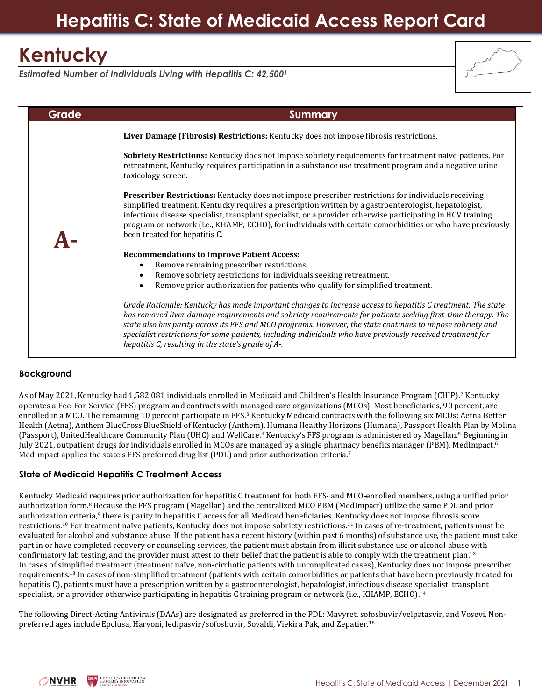## **Hepatitis C: State of Medicaid Access Report Card**

# **Kentucky**

*Estimated Number of Individuals Living with Hepatitis C: 42,500<sup>1</sup>*

| Grade | Summary                                                                                                                                                                                                                                                                                                                                                                                                                                                                                                        |
|-------|----------------------------------------------------------------------------------------------------------------------------------------------------------------------------------------------------------------------------------------------------------------------------------------------------------------------------------------------------------------------------------------------------------------------------------------------------------------------------------------------------------------|
|       | Liver Damage (Fibrosis) Restrictions: Kentucky does not impose fibrosis restrictions.                                                                                                                                                                                                                                                                                                                                                                                                                          |
|       | Sobriety Restrictions: Kentucky does not impose sobriety requirements for treatment naive patients. For<br>retreatment, Kentucky requires participation in a substance use treatment program and a negative urine<br>toxicology screen.                                                                                                                                                                                                                                                                        |
|       | Prescriber Restrictions: Kentucky does not impose prescriber restrictions for individuals receiving<br>simplified treatment. Kentucky requires a prescription written by a gastroenterologist, hepatologist,<br>infectious disease specialist, transplant specialist, or a provider otherwise participating in HCV training<br>program or network (i.e., KHAMP, ECHO), for individuals with certain comorbidities or who have previously<br>been treated for hepatitis C.                                      |
|       | <b>Recommendations to Improve Patient Access:</b><br>Remove remaining prescriber restrictions.<br>$\bullet$<br>Remove sobriety restrictions for individuals seeking retreatment.<br>$\bullet$<br>Remove prior authorization for patients who qualify for simplified treatment.<br>$\bullet$                                                                                                                                                                                                                    |
|       | Grade Rationale: Kentucky has made important changes to increase access to hepatitis C treatment. The state<br>has removed liver damage requirements and sobriety requirements for patients seeking first-time therapy. The<br>state also has parity across its FFS and MCO programs. However, the state continues to impose sobriety and<br>specialist restrictions for some patients, including individuals who have previously received treatment for<br>hepatitis C, resulting in the state's grade of A-. |

## **Background**

As of May 2021, Kentucky had 1,582,081 individuals enrolled in Medicaid and Children's Health Insurance Program (CHIP). <sup>2</sup> Kentucky operates a Fee-For-Service (FFS) program and contracts with managed care organizations (MCOs). Most beneficiaries, 90 percent, are enrolled in a MCO. The remaining 10 percent participate in FFS.<sup>3</sup> Kentucky Medicaid contracts with the following six MCOs: Aetna Better Health (Aetna), Anthem BlueCross BlueShield of Kentucky (Anthem), Humana Healthy Horizons (Humana), Passport Health Plan by Molina (Passport), UnitedHealthcare Community Plan (UHC) and WellCare.<sup>4</sup> Kentucky's FFS program is administered by Magellan.<sup>5</sup> Beginning in July 2021, outpatient drugs for individuals enrolled in MCOs are managed by a single pharmacy benefits manager (PBM), MedImpact.<sup>6</sup> MedImpact applies the state's FFS preferred drug list (PDL) and prior authorization criteria.<sup>7</sup>

## **State of Medicaid Hepatitis C Treatment Access**

Kentucky Medicaid requires prior authorization for hepatitis C treatment for both FFS- and MCO-enrolled members, using a unified prior authorization form.<sup>8</sup> Because the FFS program (Magellan) and the centralized MCO PBM (MedImpact) utilize the same PDL and prior authorization criteria,<sup>9</sup> there is parity in hepatitis C access for all Medicaid beneficiaries. Kentucky does not impose fibrosis score restrictions.<sup>10</sup> For treatment naïve patients, Kentucky does not impose sobriety restrictions.<sup>11</sup> In cases of re-treatment, patients must be evaluated for alcohol and substance abuse. If the patient has a recent history (within past 6 months) of substance use, the patient must take part in or have completed recovery or counseling services, the patient must abstain from illicit substance use or alcohol abuse with confirmatory lab testing, and the provider must attest to their belief that the patient is able to comply with the treatment plan.<sup>12</sup> In cases of simplified treatment (treatment naïve, non-cirrhotic patients with uncomplicated cases), Kentucky does not impose prescriber requirements.<sup>13</sup> In cases of non-simplified treatment (patients with certain comorbidities or patients that have been previously treated for hepatitis C), patients must have a prescription written by a gastroenterologist, hepatologist, infectious disease specialist, transplant specialist, or a provider otherwise participating in hepatitis C training program or network (i.e., KHAMP, ECHO).<sup>14</sup>

The following Direct-Acting Antivirals (DAAs) are designated as preferred in the PDL: Mavyret, sofosbuvir/velpatasvir, and Vosevi. Nonpreferred ages include Epclusa, Harvoni, ledipasvir/sofosbuvir, Sovaldi, Viekira Pak, and Zepatier.15

**ENTER /w HEALTH LAV**<br>POLICY INNOVATION **NVHR**